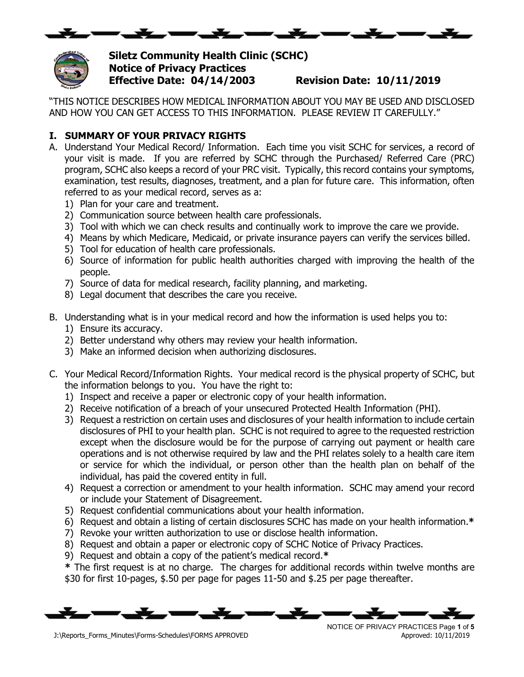



**Siletz Community Health Clinic (SCHC) Notice of Privacy Practices Effective Date: 04/14/2003 Revision Date: 10/11/2019**

"THIS NOTICE DESCRIBES HOW MEDICAL INFORMATION ABOUT YOU MAY BE USED AND DISCLOSED AND HOW YOU CAN GET ACCESS TO THIS INFORMATION. PLEASE REVIEW IT CAREFULLY."

## **I. SUMMARY OF YOUR PRIVACY RIGHTS**

- A. Understand Your Medical Record/ Information. Each time you visit SCHC for services, a record of your visit is made. If you are referred by SCHC through the Purchased/ Referred Care (PRC) program, SCHC also keeps a record of your PRC visit. Typically, this record contains your symptoms, examination, test results, diagnoses, treatment, and a plan for future care. This information, often referred to as your medical record, serves as a:
	- 1) Plan for your care and treatment.
	- 2) Communication source between health care professionals.
	- 3) Tool with which we can check results and continually work to improve the care we provide.
	- 4) Means by which Medicare, Medicaid, or private insurance payers can verify the services billed.
	- 5) Tool for education of health care professionals.
	- 6) Source of information for public health authorities charged with improving the health of the people.
	- 7) Source of data for medical research, facility planning, and marketing.
	- 8) Legal document that describes the care you receive.
- B. Understanding what is in your medical record and how the information is used helps you to:
	- 1) Ensure its accuracy.
	- 2) Better understand why others may review your health information.
	- 3) Make an informed decision when authorizing disclosures.
- C. Your Medical Record/Information Rights. Your medical record is the physical property of SCHC, but the information belongs to you. You have the right to:
	- 1) Inspect and receive a paper or electronic copy of your health information.
	- 2) Receive notification of a breach of your unsecured Protected Health Information (PHI).
	- 3) Request a restriction on certain uses and disclosures of your health information to include certain disclosures of PHI to your health plan. SCHC is not required to agree to the requested restriction except when the disclosure would be for the purpose of carrying out payment or health care operations and is not otherwise required by law and the PHI relates solely to a health care item or service for which the individual, or person other than the health plan on behalf of the individual, has paid the covered entity in full.
	- 4) Request a correction or amendment to your health information. SCHC may amend your record or include your Statement of Disagreement.
	- 5) Request confidential communications about your health information.
	- 6) Request and obtain a listing of certain disclosures SCHC has made on your health information.**\***
	- 7) Revoke your written authorization to use or disclose health information.
	- 8) Request and obtain a paper or electronic copy of SCHC Notice of Privacy Practices.
	- 9) Request and obtain a copy of the patient's medical record.**\***

**\*** The first request is at no charge. The charges for additional records within twelve months are \$30 for first 10-pages, \$.50 per page for pages 11-50 and \$.25 per page thereafter.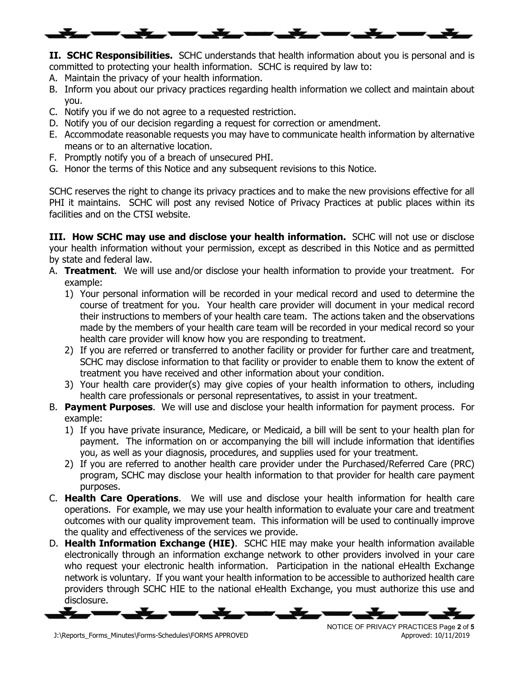

**II. SCHC Responsibilities.** SCHC understands that health information about you is personal and is committed to protecting your health information. SCHC is required by law to:

- A. Maintain the privacy of your health information.
- B. Inform you about our privacy practices regarding health information we collect and maintain about you.
- C. Notify you if we do not agree to a requested restriction.
- D. Notify you of our decision regarding a request for correction or amendment.
- E. Accommodate reasonable requests you may have to communicate health information by alternative means or to an alternative location.
- F. Promptly notify you of a breach of unsecured PHI.
- G. Honor the terms of this Notice and any subsequent revisions to this Notice.

SCHC reserves the right to change its privacy practices and to make the new provisions effective for all PHI it maintains. SCHC will post any revised Notice of Privacy Practices at public places within its facilities and on the CTSI website.

**III. How SCHC may use and disclose your health information.** SCHC will not use or disclose your health information without your permission, except as described in this Notice and as permitted by state and federal law.

- A. **Treatment**. We will use and/or disclose your health information to provide your treatment. For example:
	- 1) Your personal information will be recorded in your medical record and used to determine the course of treatment for you. Your health care provider will document in your medical record their instructions to members of your health care team. The actions taken and the observations made by the members of your health care team will be recorded in your medical record so your health care provider will know how you are responding to treatment.
	- 2) If you are referred or transferred to another facility or provider for further care and treatment, SCHC may disclose information to that facility or provider to enable them to know the extent of treatment you have received and other information about your condition.
	- 3) Your health care provider(s) may give copies of your health information to others, including health care professionals or personal representatives, to assist in your treatment.
- B. **Payment Purposes**. We will use and disclose your health information for payment process. For example:
	- 1) If you have private insurance, Medicare, or Medicaid, a bill will be sent to your health plan for payment. The information on or accompanying the bill will include information that identifies you, as well as your diagnosis, procedures, and supplies used for your treatment.
	- 2) If you are referred to another health care provider under the Purchased/Referred Care (PRC) program, SCHC may disclose your health information to that provider for health care payment purposes.
- C. **Health Care Operations**. We will use and disclose your health information for health care operations. For example, we may use your health information to evaluate your care and treatment outcomes with our quality improvement team. This information will be used to continually improve the quality and effectiveness of the services we provide.
- D. **Health Information Exchange (HIE)**. SCHC HIE may make your health information available electronically through an information exchange network to other providers involved in your care who request your electronic health information. Participation in the national eHealth Exchange network is voluntary. If you want your health information to be accessible to authorized health care providers through SCHC HIE to the national eHealth Exchange, you must authorize this use and disclosure.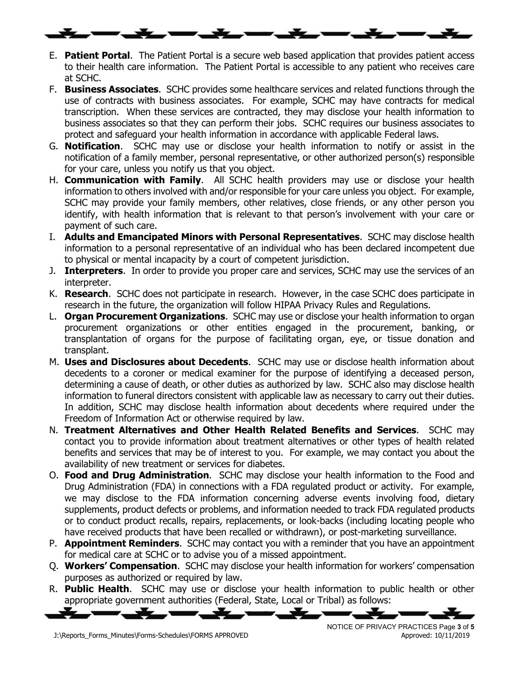- E. **Patient Portal**. The Patient Portal is a secure web based application that provides patient access to their health care information. The Patient Portal is accessible to any patient who receives care at SCHC.
- F. **Business Associates**. SCHC provides some healthcare services and related functions through the use of contracts with business associates. For example, SCHC may have contracts for medical transcription. When these services are contracted, they may disclose your health information to business associates so that they can perform their jobs. SCHC requires our business associates to protect and safeguard your health information in accordance with applicable Federal laws.
- G. **Notification**. SCHC may use or disclose your health information to notify or assist in the notification of a family member, personal representative, or other authorized person(s) responsible for your care, unless you notify us that you object.
- H. **Communication with Family**. All SCHC health providers may use or disclose your health information to others involved with and/or responsible for your care unless you object. For example, SCHC may provide your family members, other relatives, close friends, or any other person you identify, with health information that is relevant to that person's involvement with your care or payment of such care.
- I. **Adults and Emancipated Minors with Personal Representatives**. SCHC may disclose health information to a personal representative of an individual who has been declared incompetent due to physical or mental incapacity by a court of competent jurisdiction.
- J. **Interpreters**. In order to provide you proper care and services, SCHC may use the services of an interpreter.
- K. **Research**. SCHC does not participate in research. However, in the case SCHC does participate in research in the future, the organization will follow HIPAA Privacy Rules and Regulations.
- L. **Organ Procurement Organizations**. SCHC may use or disclose your health information to organ procurement organizations or other entities engaged in the procurement, banking, or transplantation of organs for the purpose of facilitating organ, eye, or tissue donation and transplant.
- M. **Uses and Disclosures about Decedents**. SCHC may use or disclose health information about decedents to a coroner or medical examiner for the purpose of identifying a deceased person, determining a cause of death, or other duties as authorized by law. SCHC also may disclose health information to funeral directors consistent with applicable law as necessary to carry out their duties. In addition, SCHC may disclose health information about decedents where required under the Freedom of Information Act or otherwise required by law.
- N. **Treatment Alternatives and Other Health Related Benefits and Services**. SCHC may contact you to provide information about treatment alternatives or other types of health related benefits and services that may be of interest to you. For example, we may contact you about the availability of new treatment or services for diabetes.
- O. **Food and Drug Administration**. SCHC may disclose your health information to the Food and Drug Administration (FDA) in connections with a FDA regulated product or activity. For example, we may disclose to the FDA information concerning adverse events involving food, dietary supplements, product defects or problems, and information needed to track FDA regulated products or to conduct product recalls, repairs, replacements, or look-backs (including locating people who have received products that have been recalled or withdrawn), or post-marketing surveillance.
- P. **Appointment Reminders**. SCHC may contact you with a reminder that you have an appointment for medical care at SCHC or to advise you of a missed appointment.
- Q. **Workers' Compensation**. SCHC may disclose your health information for workers' compensation purposes as authorized or required by law.
- R. **Public Health**. SCHC may use or disclose your health information to public health or other appropriate government authorities (Federal, State, Local or Tribal) as follows:

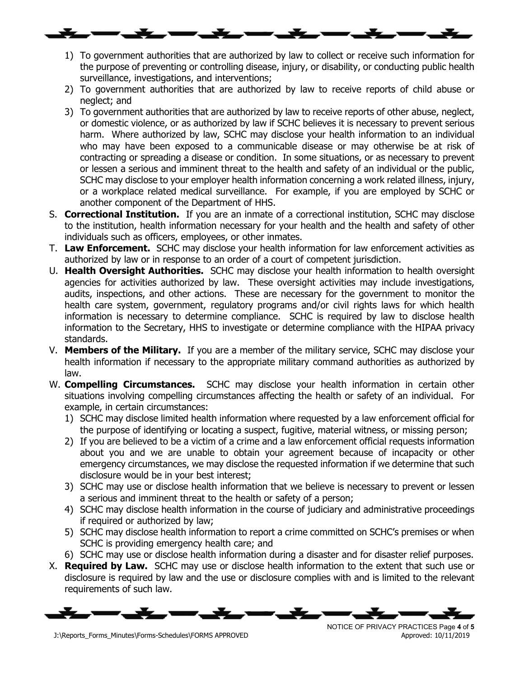- 1) To government authorities that are authorized by law to collect or receive such information for the purpose of preventing or controlling disease, injury, or disability, or conducting public health surveillance, investigations, and interventions;
- 2) To government authorities that are authorized by law to receive reports of child abuse or neglect; and
- 3) To government authorities that are authorized by law to receive reports of other abuse, neglect, or domestic violence, or as authorized by law if SCHC believes it is necessary to prevent serious harm. Where authorized by law, SCHC may disclose your health information to an individual who may have been exposed to a communicable disease or may otherwise be at risk of contracting or spreading a disease or condition. In some situations, or as necessary to prevent or lessen a serious and imminent threat to the health and safety of an individual or the public, SCHC may disclose to your employer health information concerning a work related illness, injury, or a workplace related medical surveillance. For example, if you are employed by SCHC or another component of the Department of HHS.
- S. **Correctional Institution.** If you are an inmate of a correctional institution, SCHC may disclose to the institution, health information necessary for your health and the health and safety of other individuals such as officers, employees, or other inmates.
- T. **Law Enforcement.** SCHC may disclose your health information for law enforcement activities as authorized by law or in response to an order of a court of competent jurisdiction.
- U. **Health Oversight Authorities.** SCHC may disclose your health information to health oversight agencies for activities authorized by law. These oversight activities may include investigations, audits, inspections, and other actions. These are necessary for the government to monitor the health care system, government, regulatory programs and/or civil rights laws for which health information is necessary to determine compliance. SCHC is required by law to disclose health information to the Secretary, HHS to investigate or determine compliance with the HIPAA privacy standards.
- V. **Members of the Military.** If you are a member of the military service, SCHC may disclose your health information if necessary to the appropriate military command authorities as authorized by law.
- W. **Compelling Circumstances.** SCHC may disclose your health information in certain other situations involving compelling circumstances affecting the health or safety of an individual. For example, in certain circumstances:
	- 1) SCHC may disclose limited health information where requested by a law enforcement official for the purpose of identifying or locating a suspect, fugitive, material witness, or missing person;
	- 2) If you are believed to be a victim of a crime and a law enforcement official requests information about you and we are unable to obtain your agreement because of incapacity or other emergency circumstances, we may disclose the requested information if we determine that such disclosure would be in your best interest;
	- 3) SCHC may use or disclose health information that we believe is necessary to prevent or lessen a serious and imminent threat to the health or safety of a person;
	- 4) SCHC may disclose health information in the course of judiciary and administrative proceedings if required or authorized by law;
	- 5) SCHC may disclose health information to report a crime committed on SCHC's premises or when SCHC is providing emergency health care; and
	- 6) SCHC may use or disclose health information during a disaster and for disaster relief purposes.
- X. **Required by Law.** SCHC may use or disclose health information to the extent that such use or disclosure is required by law and the use or disclosure complies with and is limited to the relevant requirements of such law.